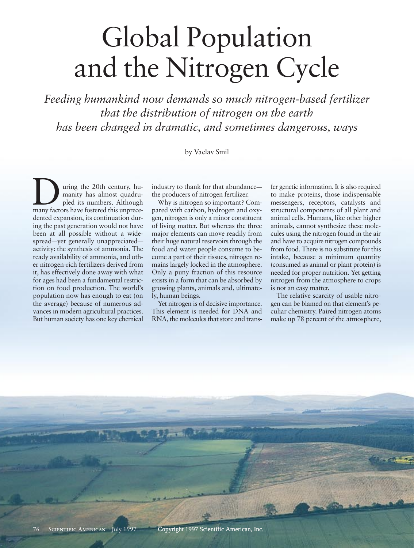# Global Population and the Nitrogen Cycle

*Feeding humankind now demands so much nitrogen-based fertilizer that the distribution of nitrogen on the earth has been changed in dramatic, and sometimes dangerous, ways*

by Vaclav Smil

**During the 20th century, humanity has almost quadru-**<br>pled its numbers. Although<br>many factors have fostered this unprecemanity has almost quadrupled its numbers. Although dented expansion, its continuation during the past generation would not have been at all possible without a widespread—yet generally unappreciated activity: the synthesis of ammonia. The ready availability of ammonia, and other nitrogen-rich fertilizers derived from it, has effectively done away with what for ages had been a fundamental restriction on food production. The world's population now has enough to eat (on the average) because of numerous advances in modern agricultural practices. But human society has one key chemical

industry to thank for that abundance the producers of nitrogen fertilizer.

Why is nitrogen so important? Compared with carbon, hydrogen and oxygen, nitrogen is only a minor constituent of living matter. But whereas the three major elements can move readily from their huge natural reservoirs through the food and water people consume to become a part of their tissues, nitrogen remains largely locked in the atmosphere. Only a puny fraction of this resource exists in a form that can be absorbed by growing plants, animals and, ultimately, human beings.

Yet nitrogen is of decisive importance. This element is needed for DNA and RNA, the molecules that store and transfer genetic information. It is also required to make proteins, those indispensable messengers, receptors, catalysts and structural components of all plant and animal cells. Humans, like other higher animals, cannot synthesize these molecules using the nitrogen found in the air and have to acquire nitrogen compounds from food. There is no substitute for this intake, because a minimum quantity (consumed as animal or plant protein) is needed for proper nutrition. Yet getting nitrogen from the atmosphere to crops is not an easy matter.

The relative scarcity of usable nitrogen can be blamed on that element's peculiar chemistry. Paired nitrogen atoms make up 78 percent of the atmosphere,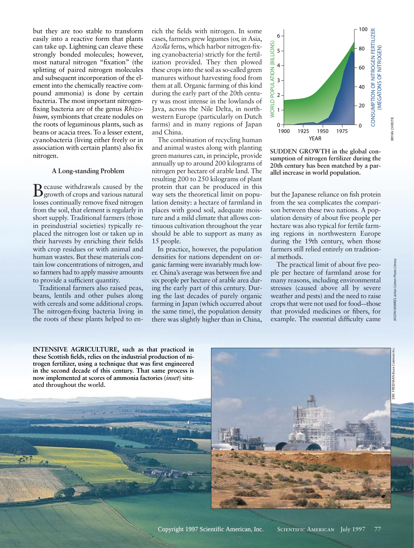but they are too stable to transform easily into a reactive form that plants can take up. Lightning can cleave these strongly bonded molecules; however, most natural nitrogen "fixation" (the splitting of paired nitrogen molecules and subsequent incorporation of the element into the chemically reactive compound ammonia) is done by certain bacteria. The most important nitrogenfixing bacteria are of the genus *Rhizobium,* symbionts that create nodules on the roots of leguminous plants, such as beans or acacia trees. To a lesser extent, cyanobacteria (living either freely or in association with certain plants) also fix nitrogen.

#### **A Long-standing Problem**

Because withdrawals caused by the growth of crops and various natural losses continually remove fixed nitrogen from the soil, that element is regularly in short supply. Traditional farmers (those in preindustrial societies) typically replaced the nitrogen lost or taken up in their harvests by enriching their fields with crop residues or with animal and human wastes. But these materials contain low concentrations of nitrogen, and so farmers had to apply massive amounts to provide a sufficient quantity.

Traditional farmers also raised peas, beans, lentils and other pulses along with cereals and some additional crops. The nitrogen-fixing bacteria living in the roots of these plants helped to enrich the fields with nitrogen. In some cases, farmers grew legumes (or, in Asia, *Azolla* ferns, which harbor nitrogen-fixing cyanobacteria) strictly for the fertilization provided. They then plowed these crops into the soil as so-called green manures without harvesting food from them at all. Organic farming of this kind during the early part of the 20th century was most intense in the lowlands of Java, across the Nile Delta, in northwestern Europe (particularly on Dutch farms) and in many regions of Japan and China.

The combination of recycling human and animal wastes along with planting green manures can, in principle, provide annually up to around 200 kilograms of nitrogen per hectare of arable land. The resulting 200 to 250 kilograms of plant protein that can be produced in this way sets the theoretical limit on population density: a hectare of farmland in places with good soil, adequate moisture and a mild climate that allows continuous cultivation throughout the year should be able to support as many as 15 people.

In practice, however, the population densities for nations dependent on organic farming were invariably much lower. China's average was between five and six people per hectare of arable area during the early part of this century. During the last decades of purely organic farming in Japan (which occurred about the same time), the population density there was slightly higher than in China,



**SUDDEN GROWTH in the global consumption of nitrogen fertilizer during the 20th century has been matched by a par-**

but the Japanese reliance on fish protein from the sea complicates the comparison between these two nations. A population density of about five people per hectare was also typical for fertile farming regions in northwestern Europe during the 19th century, when those farmers still relied entirely on traditional methods.

The practical limit of about five people per hectare of farmland arose for many reasons, including environmental stresses (caused above all by severe weather and pests) and the need to raise crops that were not used for food—those that provided medicines or fibers, for example. The essential difficulty came

**INTENSIVE AGRICULTURE, such as that practiced in these Scottish fields, relies on the industrial production of nitrogen fertilizer, using a technique that was first engineered in the second decade of this century. That same process is now implemented at scores of ammonia factories (***inset***) situated throughout the world.**

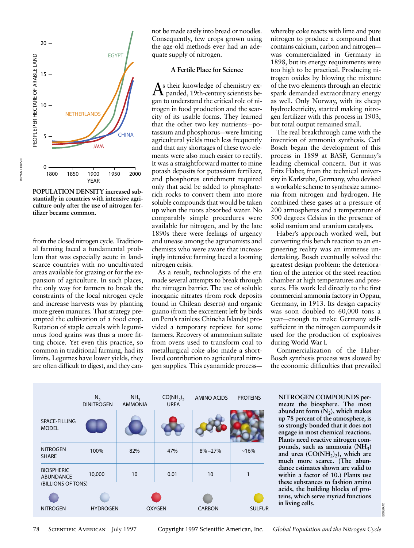

**POPULATION DENSITY increased substantially in countries with intensive agriculture only after the use of nitrogen fertilizer became common.**

from the closed nitrogen cycle. Traditional farming faced a fundamental problem that was especially acute in landscarce countries with no uncultivated areas available for grazing or for the expansion of agriculture. In such places, the only way for farmers to break the constraints of the local nitrogen cycle and increase harvests was by planting more green manures. That strategy preempted the cultivation of a food crop. Rotation of staple cereals with leguminous food grains was thus a more fitting choice. Yet even this practice, so common in traditional farming, had its limits. Legumes have lower yields, they are often difficult to digest, and they cannot be made easily into bread or noodles. Consequently, few crops grown using the age-old methods ever had an adequate supply of nitrogen.

### **A Fertile Place for Science**

 $\mathrm{A}$ s their knowledge of chemistry ex-<br>panded, 19th-century scientists began to understand the critical role of nitrogen in food production and the scarcity of its usable forms. They learned that the other two key nutrients—potassium and phosphorus—were limiting agricultural yields much less frequently and that any shortages of these two elements were also much easier to rectify. It was a straightforward matter to mine potash deposits for potassium fertilizer, and phosphorus enrichment required only that acid be added to phosphaterich rocks to convert them into more soluble compounds that would be taken up when the roots absorbed water. No comparably simple procedures were available for nitrogen, and by the late 1890s there were feelings of urgency and unease among the agronomists and chemists who were aware that increasingly intensive farming faced a looming nitrogen crisis.

As a result, technologists of the era made several attempts to break through the nitrogen barrier. The use of soluble inorganic nitrates (from rock deposits found in Chilean deserts) and organic guano (from the excrement left by birds on Peru's rainless Chincha Islands) provided a temporary reprieve for some farmers. Recovery of ammonium sulfate from ovens used to transform coal to metallurgical coke also made a shortlived contribution to agricultural nitrogen supplies. This cyanamide processwhereby coke reacts with lime and pure nitrogen to produce a compound that contains calcium, carbon and nitrogen was commercialized in Germany in 1898, but its energy requirements were too high to be practical. Producing nitrogen oxides by blowing the mixture of the two elements through an electric spark demanded extraordinary energy as well. Only Norway, with its cheap hydroelectricity, started making nitrogen fertilizer with this process in 1903, but total output remained small.

The real breakthrough came with the invention of ammonia synthesis. Carl Bosch began the development of this process in 1899 at BASF, Germany's leading chemical concern. But it was Fritz Haber, from the technical university in Karlsruhe, Germany, who devised a workable scheme to synthesize ammonia from nitrogen and hydrogen. He combined these gases at a pressure of 200 atmospheres and a temperature of 500 degrees Celsius in the presence of solid osmium and uranium catalysts.

Haber's approach worked well, but converting this bench reaction to an engineering reality was an immense undertaking. Bosch eventually solved the greatest design problem: the deterioration of the interior of the steel reaction chamber at high temperatures and pressures. His work led directly to the first commercial ammonia factory in Oppau, Germany, in 1913. Its design capacity was soon doubled to 60,000 tons a year—enough to make Germany selfsufficient in the nitrogen compounds it used for the production of explosives during World War I.

Commercialization of the Haber-Bosch synthesis process was slowed by the economic difficulties that prevailed



**NITROGEN COMPOUNDS permeate the biosphere. The most** abundant form  $(N_2)$ , which makes **up 78 percent of the atmosphere, is so strongly bonded that it does not engage in most chemical reactions. Plants need reactive nitrogen compounds, such as ammonia (NH3)** and urea  $(CO(NH_2)_2)$ , which are **much more scarce. (The abundance estimates shown are valid to within a factor of 10.) Plants use these substances to fashion amino acids, the building blocks of proteins, which serve myriad functions in living cells.**

BIOGRAFX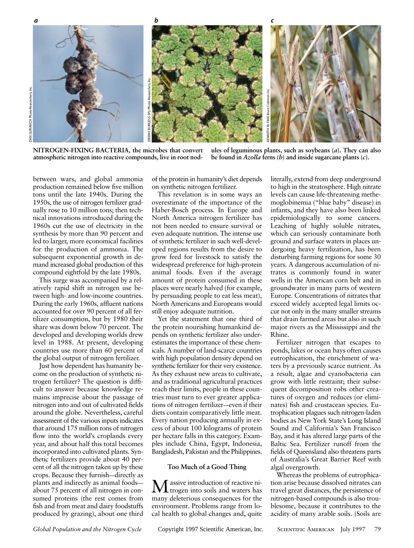

**NITROGEN-FIXING BACTERIA, the microbes that convert atmospheric nitrogen into reactive compounds, live in root nod-**

**ules of leguminous plants, such as soybeans (***a***). They can also be found in** *Azolla* **ferns (***b***) and inside sugarcane plants (***c***).**

between wars, and global ammonia production remained below five million tons until the late 1940s. During the 1950s, the use of nitrogen fertilizer gradually rose to 10 million tons; then technical innovations introduced during the 1960s cut the use of electricity in the synthesis by more than 90 percent and led to larger, more economical facilities for the production of ammonia. The subsequent exponential growth in demand increased global production of this compound eightfold by the late 1980s.

This surge was accompanied by a relatively rapid shift in nitrogen use between high- and low-income countries. During the early 1960s, affluent nations accounted for over 90 percent of all fertilizer consumption, but by 1980 their share was down below 70 percent. The developed and developing worlds drew level in 1988. At present, developing countries use more than 60 percent of the global output of nitrogen fertilizer.

Just how dependent has humanity become on the production of synthetic nitrogen fertilizer? The question is difficult to answer because knowledge remains imprecise about the passage of nitrogen into and out of cultivated fields around the globe. Nevertheless, careful assessment of the various inputs indicates that around 175 million tons of nitrogen flow into the world's croplands every year, and about half this total becomes incorporated into cultivated plants. Synthetic fertilizers provide about 40 percent of all the nitrogen taken up by these crops. Because they furnish—directly as plants and indirectly as animal foods about 75 percent of all nitrogen in consumed proteins (the rest comes from fish and from meat and dairy foodstuffs produced by grazing), about one third of the protein in humanity's diet depends on synthetic nitrogen fertilizer.

This revelation is in some ways an overestimate of the importance of the Haber-Bosch process. In Europe and North America nitrogen fertilizer has not been needed to ensure survival or even adequate nutrition. The intense use of synthetic fertilizer in such well-developed regions results from the desire to grow feed for livestock to satisfy the widespread preference for high-protein animal foods. Even if the average amount of protein consumed in these places were nearly halved (for example, by persuading people to eat less meat), North Americans and Europeans would still enjoy adequate nutrition.

Yet the statement that one third of the protein nourishing humankind depends on synthetic fertilizer also underestimates the importance of these chemicals. A number of land-scarce countries with high population density depend on synthetic fertilizer for their very existence. As they exhaust new areas to cultivate, and as traditional agricultural practices reach their limits, people in these countries must turn to ever greater applications of nitrogen fertilizer—even if their diets contain comparatively little meat. Every nation producing annually in excess of about 100 kilograms of protein per hectare falls in this category. Examples include China, Egypt, Indonesia, Bangladesh, Pakistan and the Philippines.

#### **Too Much of a Good Thing**

 $M$  assive introduction of reactive ni-<br>trogen into soils and waters has many deleterious consequences for the environment. Problems range from local health to global changes and, quite literally, extend from deep underground to high in the stratosphere. High nitrate levels can cause life-threatening methemoglobinemia ("blue baby" disease) in infants, and they have also been linked epidemiologically to some cancers. Leaching of highly soluble nitrates, which can seriously contaminate both ground and surface waters in places undergoing heavy fertilization, has been disturbing farming regions for some 30 years. A dangerous accumulation of nitrates is commonly found in water wells in the American corn belt and in groundwater in many parts of western Europe. Concentrations of nitrates that exceed widely accepted legal limits occur not only in the many smaller streams that drain farmed areas but also in such major rivers as the Mississippi and the Rhine.

Fertilizer nitrogen that escapes to ponds, lakes or ocean bays often causes eutrophication, the enrichment of waters by a previously scarce nutrient. As a result, algae and cyanobacteria can grow with little restraint; their subsequent decomposition robs other creatures of oxygen and reduces (or eliminates) fish and crustacean species. Eutrophication plagues such nitrogen-laden bodies as New York State's Long Island Sound and California's San Francisco Bay, and it has altered large parts of the Baltic Sea. Fertilizer runoff from the fields of Queensland also threatens parts of Australia's Great Barrier Reef with algal overgrowth.

Whereas the problems of eutrophication arise because dissolved nitrates can travel great distances, the persistence of nitrogen-based compounds is also troublesome, because it contributes to the acidity of many arable soils. (Soils are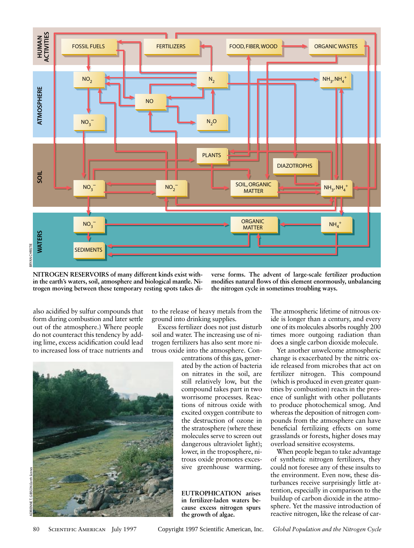

**NITROGEN RESERVOIRS of many different kinds exist within the earth's waters, soil, atmosphere and biological mantle. Nitrogen moving between these temporary resting spots takes di-**

**verse forms. The advent of large-scale fertilizer production modifies natural flows of this element enormously, unbalancing the nitrogen cycle in sometimes troubling ways.**

also acidified by sulfur compounds that form during combustion and later settle out of the atmosphere.) Where people do not counteract this tendency by adding lime, excess acidification could lead to increased loss of trace nutrients and to the release of heavy metals from the ground into drinking supplies.

Excess fertilizer does not just disturb soil and water. The increasing use of nitrogen fertilizers has also sent more nitrous oxide into the atmosphere. Con-

> centrations of this gas, generated by the action of bacteria on nitrates in the soil, are still relatively low, but the compound takes part in two worrisome processes. Reactions of nitrous oxide with excited oxygen contribute to the destruction of ozone in the stratosphere (where these molecules serve to screen out dangerous ultraviolet light); lower, in the troposphere, nitrous oxide promotes excessive greenhouse warming.

> > **EUTROPHICATION arises in fertilizer-laden waters because excess nitrogen spurs the growth of algae.**

The atmospheric lifetime of nitrous oxide is longer than a century, and every one of its molecules absorbs roughly 200 times more outgoing radiation than does a single carbon dioxide molecule.

Yet another unwelcome atmospheric change is exacerbated by the nitric oxide released from microbes that act on fertilizer nitrogen. This compound (which is produced in even greater quantities by combustion) reacts in the presence of sunlight with other pollutants to produce photochemical smog. And whereas the deposition of nitrogen compounds from the atmosphere can have beneficial fertilizing effects on some grasslands or forests, higher doses may overload sensitive ecosystems.

When people began to take advantage of synthetic nitrogen fertilizers, they could not foresee any of these insults to the environment. Even now, these disturbances receive surprisingly little attention, especially in comparison to the buildup of carbon dioxide in the atmosphere. Yet the massive introduction of reactive nitrogen, like the release of car-